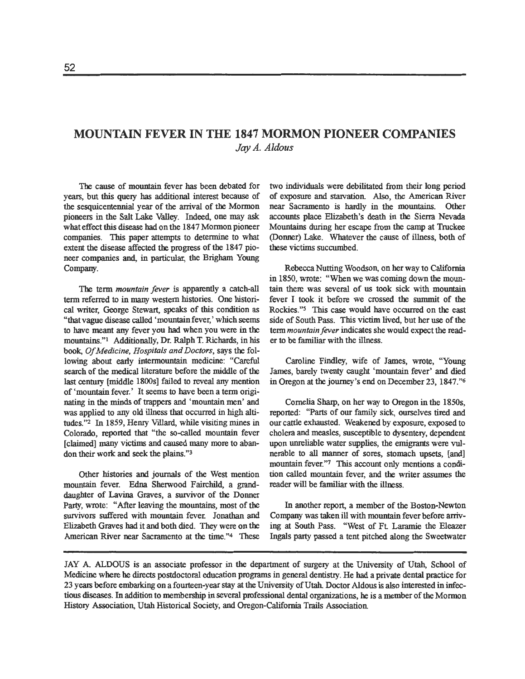# **MOUNTAIN FEVER IN THE 1847 MORMON PIONEER COMPANIES**  *Jay* **A.** *Aldous*

The cause of mountain fever **has** been debated for years, but this query has additional interest because of the sesquicentennial year of the arrival of the Mormon pioneers in the Salt **Lake** Valley. **Indeed,** one may ask what effect this disease had on the 1847 Mormon pioneer companies. This paper attempts to determine to what extent **the** disease affected the progress of the 1847 pioneer companies **and,** in particular, the Brigham Young **Company.** 

The **term** mountain fever is apparently a catch-all term referred to in **many** western histories. One historical writer, George Stewart, speaks of this condition as "that vague disease called 'mountain fever,' which **seems**  to have meant any fever you had when you were in the mountains."l Additionally, Dr. Ralph **T.** Richards, in his book, OfMedicine, Hospitals and Doctors, says **the** following **about** early intermountain medicine: **"Careful**  search of **the** medical literature before **the** middle of **the**  last century [middle 1800s] failed to reveal any mention of 'mountain fever.' It seems to have been a term originating in **the minds** of trappers and 'mountain men' and was applied to **any** old illness that occurred in high altitudes."<sup>2</sup> In 1859, Henry Villard, while visiting mines in Colomdo, reported that "the so-called mountain fever [claimed] **many** victims and caused many more to abandon their work and seek the plains."3

Other histories and journals of the West mention mountain fever. Edna Shemood Faircbild, a **grand**daughter of Lavina Graves, a suxvivor of **the** Donner Party, wrote: "After leaving the mountains, most of the survivors suffered with mountain fevet Jonathan and Elizabeth Graves had it and both died. They were on the American River near Sacramento at the time."<sup>4</sup> These

two **individuals** were debilitated from their long period of exposure and starvation. Also, the American River near Sacramento is hardly in the mountains. Other accounts place Elizabeth's death in the Siena Nevada Mountains during her escape from the camp at Truckee (Dormer) Lake. Whatever the cause of illness, both of these victims succumbed.

Rebecca Nutting Woodson, on her way to California in 1850, wrote: "When we was coming down the mountain there was several of **us** took sick with mountain fever I took it before we crossed **the** summit of the Rockies."s This case would have occurred on the east side of South **Pass.** Tbis victim lived, but her use of the term mountain fever indicates she would expect **the** reader to be familiar with the illness.

**Caroline** Findley, wife of James, wrote, "Young James, barely twenty caught 'mountain fever' **and** died in Oregon **at** the journey's end on December 23, 1847."6

Cornelia Sharp, on her way to Oregon in the 1850s, reported: "Parts of our family sick, ourselves tired and our cattle exhausted. Weakened by exposure, exposed to cholera and measles, susceptible to dysentery, dependent upon unreliable water supplies, the emigrants were vulnerable to **all** manner of sores, stomach upsets, [and] mountain fever."7 This account only mentions a condition called mountain fever, and **the** writer assumes the reader will be familiar with the illness.

In another report, a member of the Boston-Newton Company was taken ill with mountain fever before arriving **at** South Pass. "West of Ft Laramie the Eleazr Ingals party passed a tent pitched along the Sweetwater

JAY A. ALDOUS is an associate professor in **the** department of surgery at the University of Utah, School of Medicine where he directs postdoctoral education programs in general dentistry. He had a private dental practice for 23 yem before embarking on a fourteen-year stay **at** the University of Utah Doctor Aldous is also interested in **infec**tious diseases. In addition to membership in several professional dental organizations, he is a member of **the** Mormon History Association, Utah Historical Society, and Oregon-California Trails Association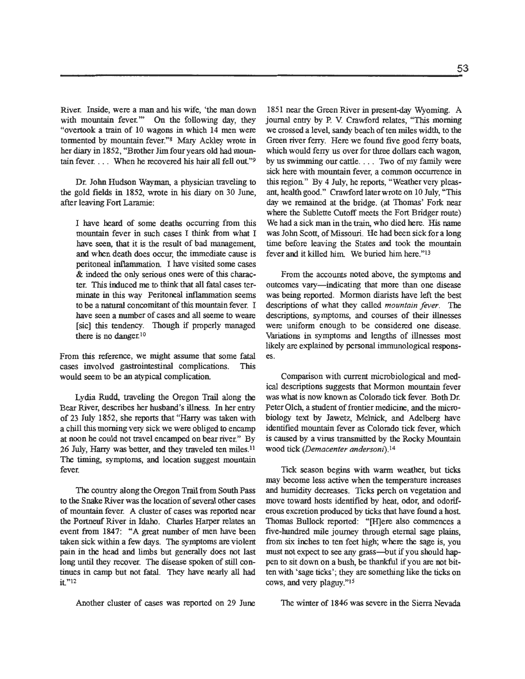River. Inside, were a **man** and his wife, 'the **man** down with mountain fever." On the following day, they "overtook a train of 10 wagons in which 14 men were tormented by mountain fever."8 **Mary** Ackley wrote in her diary in 1852, "Brother Jim four years old had mountain fever. . . . When he recovered his hair **all** fell out"9

Dr. John Hudson Wayman, a physician traveling **to the** gold fields in 1852, wrote in his diary on 30 June, after leaving Fort Laramie:

I have heard of some deaths occurring from this mountain fever in such cases I think from what I have seen, that it is **the** result of bad management, and when death does **occur,** the immediate cause is peritoneal inflammation I have visited some cases & **indeed the** only serious ones were of this character. This imluced me **to** think that all fatal cases terminate in this way Peritoneal inflammation seems to be a natural concomitant of this mountain fever. I have seen a number of cases and all seeme **to** weare [sic] this tendency. Though if properly managed there is no danger.<sup>10</sup>

From this reference, we might assume that some fatal cases involved gastrointestinal complications. This would seem **to** be **an** atypical complication

Lydia Rudd, traveling the Oregon Trail along **the**  Bear River, describes her husband's illness. In her entry of 23 July 1852, she reports that **"Hany** was taken with a chill this morning very sick we were obliged to encamp at noon he could not travel encamped on bear river." By 26 July, Harry was better, and they traveled ten miles.11 The timing, symptoms, and location suggest mountain fever.

**The** country along the Oregon Trail from South Pass to **the** Snake River was the location of sevexal other cases of mountain fever. A cluster of cases was reported near the Portneuf River in Idaho. Charles Harper relates **an**  event from 1847: "A great number of men have been taken sick within a few days. The symptoms **are** violent pain in **the** head and limbs but generally does not last long until they recover. The disease spoken of still continues in camp but not fatal. They have nearly **all** had  $it"$ <sup>12</sup>

Another cluster of cases was reported on 29 June The winter of 1846 was severe in the Sierra Nevada

1851 near the Green River in present-day Wyoming. A journal entry by P. **V.** Crawford relates, "This morning we crossed a level, sandy beach of ten miles width, to the Green river feny. Here we found five good ferry boats, which would feny us over for three dollars each wagon, by us swimming our cattle. . . . Two of my family were sick here with mountain fever, a common occurrence in this region" By 4 July, he reports, "Weather very pleasant, health good." Crawford later wrote on 10 July, "This day we remained at the bridge. (at Thomas' Fork near where the Sublette Cutoff meets the Fort Bridger route) We had a sick **man** in the train, who died here. His name was John Scott, of Missouri. He had been sick for a long time before leaving the States **and** took the mountain fever and it killed him We buried him here."l3

From the accounts noted above, the symptoms and outcomes vary-indicating that more than one disease was being reported. Mormon diarists have left the best descriptions of what they called *mountain fever*. The descriptions, symptoms, and courses of their illnesses were uniform enough to be considered one disease. Variations in symptoms and lengths of illnesses most likely **are** explained by personal immunological respons**es.** 

Comparison with current microbiological and medical descriptions suggests that Mormon mountain fever was what is now known as Colorado tick fever. Both Dr. Peter Olch, a student of frontier medicine, and the microbiology text by Jawetz, Melnick, and Adelberg have identified mountain fever as Colorado tick fever, which is caused by a virus transmitted by the Rocky Mountain wood tick *(Demacenter andersoni).l4* 

Tick season begins with warm weather, but ticks may become less active when the temperature increases **and** humidity decreases. Ticks perch on vegetation and move toward hosts identified by heat, odor, and odoriferous excretion produced by ticks that have found a host Thomas Bullock reported: "[H]ere also commences a five-hundred mile journey through eternal sage plains, from six inches to ten feet high, where **the** sage is, you must not expect to see **any** grass--but if you should happen to sit down on a bush, be thankful if you are not bitten with 'sage ticks'; they **are** something like the ticks on cows, **and** very plaguy."ls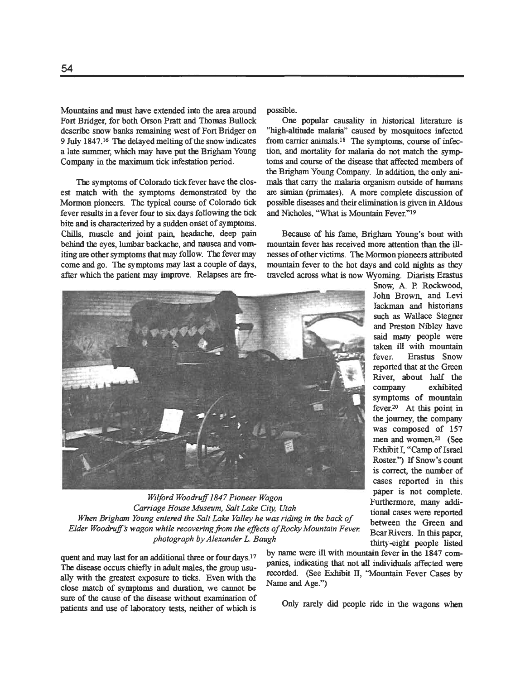Mountains **and must** have extended into the area around possible. Fort Bridger, for both Orson Pratt and Thomas Bullock One popular causality in historical literature is describe snow banks remaining west of Fort Bridger on "high-altitude malaria" caused by mosquitoes infected

fever results in a fever four to six days following the tick and Nicholes, "What is Mountain Fever."<sup>19</sup> bite **and** is characteized by a sudden onset of symptoms. Chills, muscle and joint pain, headache, deep pain Because of his fame, Brigham Young's bout with after which the patient may improve. Relapses are fre-

"high-altitude malaria" caused by mosquitoes infected 9 July 1847.<sup>16</sup> The delayed melting of the snow indicates from carrier animals.<sup>18</sup> The symptoms, course of infec-<br>a late summer, which may have put the Brigham Young tion, and mortality for malaria do not match the sympa late summer, which may have put **the** Brigham Young tion, and **mortality** for malaria do not match **the** symptoms and course of the disease that affected members of **the** Brigham Young Company. In addition, the only ani-The symptoms of Colorado tick fever have the clos- **mals** that carry the **malaria** organism outside of **humans**  are simian (primates). A more complete discussion of Mormon pioneers. The typical course of Colorado tick possible diseases **and** their elimination is given in Aldous

behind the eyes, lumbar backache, and nausea and vom-<br>
iting are other symptoms that may follow. The fever may<br>
nesses of other victims. The Mormon pioneers attributed iting are other symptoms that may follow. The fever may nesses of other victims. The Mormon pioneers attributed come and go. The symptoms may last a couple of days, mountain fever to the hot days and cold nights as they mountain fever to the hot days and cold nights as they traveled across what is now Wyoming. Diarists Erastus



Wilford Woodruff 1847 Pioneer Wagon<br>
Carriage House Museum, Salt Lake City, Utah<br>
When Brigham Young entered the Salt Lake Valley he was riding in the back of<br>
Elder Woodruff's wagon while recovering from the effects of Ro

The disease occurs chiefly in adult males, the group usu-<br> **usually pairs, indicating that not all individuals affected** were<br> **usually pairs** that the greatest expogure to ticke. Exap with the<br> **ECORD** (See Exhibit II, "M ally with the greatest exposure to ticks. Even with the **recorded.** (See Exhibit of example,  $\epsilon$  and  $\epsilon$ )  $\epsilon$ close match of symptoms and duration, we cannot be sure of the cause of the disease without examination of patients and use of laboratory tests, neither of which is Only rarely did people ride in the wagons when

quent and may last for an additional three or four days.<sup>17</sup> by name were ill with mountain fever in the 1847 com-<br>The disease against highly in adult grales, the grave uses indicating that not all individuals affected wer

Snow, A. P. **Rockwood,**  John Brown, and Levi Jackman and historians such as Wallace Stegner<br>and Preston Nibley have said **many** people were taken ill with mountain fever. **Erastus** Snow reported that **at** the Green River, about **half** the exhibited symptoms of mountain **<sup>1</sup>**fever.20 At this point in the journey, the company was composed of 157 men and women.<sup>21</sup> (See Exhibit I, "Camp of Israel Roster.") **If** Snow's count is correct, the number of cases reported in this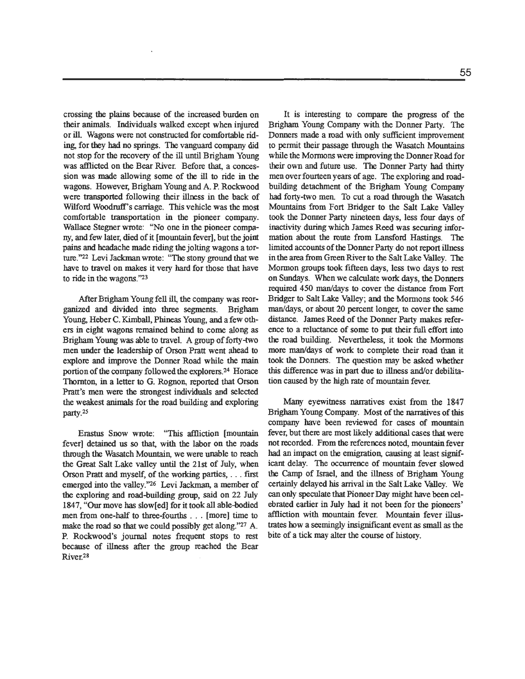crossing the plains **because** of **the** increased burden on their animals. Individuals walked except when injured or ill. Wagons were not constructed for comfortable rid**ing,** for they had no springs. The **vanguard** company did not stop for **the** recovery of **the ill** until Brigham Young was afflicted on **the** Bear River. Before **that** a concession was made allowing some of the **ill** to ride in **the**  wagons. However, Brigham Young and A. P. Rockwood were **transported** following their illness in the back of Wilford Woodruff's carriage. This vehicle was the most comfortable transportation in the pioneer company. Wallace Stegner wrote: "No one in the pioneer company, and few later, died of it [mountain fever], but the joint **pains and** headache made riding the jolting wagons a torture."22 Levi Jackman wrote: **"The** stony **ground** that we have to travel on makes it very **hard** for those that have to ride in **the** wagons.'23

After Brigham Young fell **ill,** the company was reorganized and divided into three segments. Brigham Young, Heber C. Kimball, Phineas Young, and a few others in eight wagons remained behind to come along as Brigham Young was able to travel. A group of forty-two men under the leadership of Orson **Pratt** went ahead to explore and improve the Donner Road while the main portion of the company followed the explorers.<sup>24</sup> Horace Thornton, in a letter to G. Rognon, reported that Orson Pratt's men were the strongest individuals and selected the weakest animals for the road building and exploring party.<sup>25</sup>

**Erastus Snow wrote: "This affliction [mountain** fever] detained **us** so that, with the labor on the roads through **the** Wasatch Mountain, we were unable to reach the **Great** Salt Lake valley until the **21st** of July, when Orson Pratt and myself, of the working parties, . . . first emerged into the valley.'26 Levi Jackman, a member of **the** exploring and rod-building group, said on 22 July 1847, "Our move has slow[ed] for it took all able-bodied men from one-half to three-fourths . . . [more] time to make the road so that we could possibly get along."<sup>27</sup> A. P. Rockwood's journal notes frequent stops to rest because of illness after the group reached the Bear River<sup>28</sup>

It is interesting to compare the progress of the Brigham Young Company with the Domer Party. The Donners made a road with only sufficient improvement to permit their passage through the Wasatch Mountains while the Mormons were improving the Donner Road for their own and future use. The Donner Party had thirty men over fourteen years **of** age. The exploring and roadbuilding detachment of the Brigham Young Company had forty-two men. To cut a road through the Wasatch Mountains from Fort Bridger to the Salt Lake Valley took the Domer Party nineteen days, less four days of inactivity during which James Reed was securing information about **the** route from Lansford Hastings. The limited accounts of the Donner Party do not report illness in the area from Green River to the Salt Lake Valley. The Mormon groups took fifteen days, less two days to rest on Sundays. When we calculate wok days, the Domers required **450** man/days to cover the distance from Fort Bridger to Salt Lake Valley; **and** the Mormons took **546**  manldays, or about **20** percent longer, to cover **the** same distance. James Reed of the Donner **Party** makes reference to a reluctance of some to put their full effort into the road building. Nevertheless, it took the Mormons more manldays **of** work to complete their road than it took the Donners. The question may be asked whether this difference was in part due to illness and/or debilitation caused by the high rate of mountain fever.

*Marry* eyewitness narratives exist from the 1847 Brigham Young Company. Most of the narratives of this company have been reviewed for cases **of** mountain fever, but there are most likely additional cases **that** were not recorded. Fmm the references noted, mountain fever had an impact on the emigration, causing at least significamt delay. The occurrence of mountain fever slowed the Camp of Israel, and the illness of Brigham Young certainly delayed his arrival in the Salt Lake Valley. We **can** only speculate **that** Pioneer Day might have been celebrated earlier in July had it not been for the pioneers' affliction with mountain fever. Mountain fever illustmtes how a **seemingly** insignificant event as small as the bite of a tick may alter the course of history.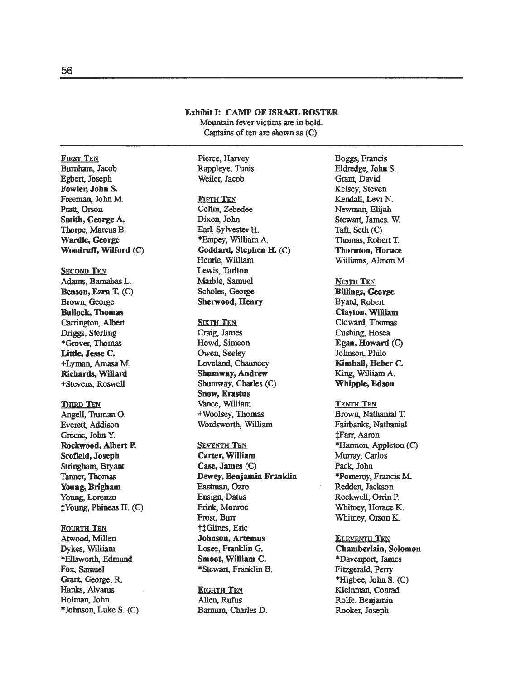#### **Exhibit I: CAMP OF ISRAEL ROSTER**

Mountain fever victims **are** in bold. Captains of ten are shown **as** (C).

Pierce, Harvey Rappleye, **'Tunis**  Weiler, Jacob

## **FIFTH TEN**

Coltin, Zebedee Dixon, John Earl, Sylvester H. \*Empey, **W11liam** A. **Goddard, Stephen E** (C) Henrie, William **Lewis,** Tarlton Marble, Samuel Scholes, George **Shemood, Henry** 

**SIXTH TEN** 

Craig, James Howd, Simeon Owen, Seeley Loveland, Chauncey **Shumway, Andrew** Shumway, Charles **(C) Snow, Erastus Vance,** William +Woolsey, Thomas Wordsworth, William

**SEVENTH TEN Carter, William Case, James** (C) **Dewey, Benjamin Franklin Eastman, Ozro** Ensign, Datus **Frink,** Monroe Frost, **Burr ttGlines**, Eric **Johnson, Artemus**  Losee, Franklin G. **Smoot, William** C. \*Stewart Franklin **B.** 

**EIGHTH TEN**  Allen, Rufus **Barnum,** Charles D.

Boggs, Francis Eldredge, John S. Grant, David Kelsey, Steven Kendall, **Levi** N. Newman, Elijah Stewart, James. W. Taft, Seth (C) Thomas, Robert T. **Thornton, Horace**  Williams, Almon M.

**NINTH TEN Wings, George**  Byard, Robert **Clayton, William** Cloward, Thomas **Cushing,** Hosea **Egan, Howard** (C) Johnson, Philo **Kimball, Heber C. King,** William A. **Whipple, Edson** 

**TENTH TEN**  Brown, Nathanial T. Fairbanks, Nathanial \$Fan, Aaron \*Harmon, Appleton (C) Murray, Carlos Pack, John \*Pomemy, Francis M. Redden, Jackson Rockwell, **Orrin** P. Whitney, Horace K. **Whitney,** Orson K.

**ELEVENTH TEN Chamberlain, Solomon**  \*Davenport, James Fitzgerald, Perry **\*Higbee,** John S. (C) Kleinman, Conrad Rolfe, Benjamin Rooker, Joseph

## Egbert, Joseph **Fowler, John S.**  Freeman, John **M.**  Pratt, Orson Smith, George A. **Tborpe, Marcus** B. **Wardle, George Woodluff, Wilford** (C) **SECOND TEN Adams,** Barnabas L. **Benson, Ezra** T. (C) Brown, George **Bullock, Thomas**  Carrington, Albert Driggs, Sterling \*Grover, Thomas **Little, Jesse c.**  +Lyman, **Amasa M. Richards, Willard**  +Stevens, Roswell **THIRD TEN** Angell, Truman **0.**  Everett, Addison

Greene, John Y. **Rockwood, Albert P. Scofield, Joseph** Stringham, Bryant Tanner, Thomas **Young, Brigham**  Young, Lorenzo  $\sharp$  Young, Phineas H. (C)

**FOURTH TEN**  Atwood, Millen Dykes, **William**  \*Ellsworth, **Edmund**  Fox, Samuel Grant, George, R. **Hanks,** Alvarus Holman, John \*Johnson, Luke S. (C)

**FIRST TEN**  Bumham, Jacob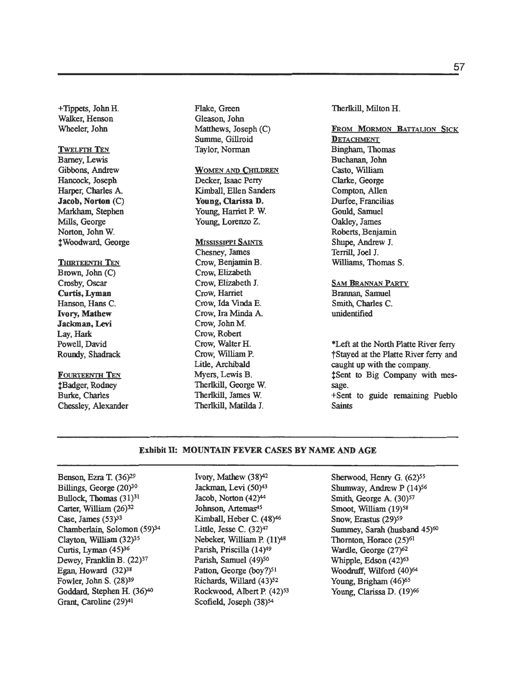+Tippets, John H. Walker, Henson Wheeler, John

## **TWELFTH TEN**

Bamey, Lewis Gibbons, Andrew Hancock, Joseph<br>Harper, Charles A. Walker, Henson<br>Wheeler, John<br>Twelfrith Ten<br>Barney, Lewis<br>Gibbons, Andrew<br>Hancock, Joseph<br>Harper, Charles A.<br>**Jacob, Norton** (C)<br>Markham, Stephen<br>Mills, George<br>Norton, John W. Markham, Stephen Mills, George Norton, John W. fwoodward, George

## THIRTEENTH TEN

Brown, John (C) Crosby, Oscar **Curtis, Lyman Hanson,** Hans C. **Ivory, Mathew Jaclonan, Levi**  Lay, **Hark** Powell, David Roundy, Shadrack

## FOURTEENTH TEN

f Badger, Rodney Burke, Charles Chessley, Alexander Flake, Green Gleason, John Matthews, Joseph (C) Summe, Gillroid Taylor, Norman

## WOMEN AND CHILDREN

Decker, Isaac Perry Kimball, Ellen Sanders **Young, Clarissa** D. Young, Harriet P. W. Young, Lorenzo Z.

#### **MISSISSIPPI SAINTS**

Chesney, James Crow, Benjamin B. Crow, Elizabeth Crow, Elizabeth J. Crow, Harriet Crow, Ida **Mnda** E. Crow, **Ira** Minda A. Crow, John M. Crow, Robert Crow, Walter H. Crow, William P. Litle, Archibald Myers, Lewis B. Therlkill, George W. Therlkill, James W. Therlkill, **Matilda** J.

Therlkill, Milton H.

FROM MORMON BATTALION SICK **DETACHMENT Bingham**, Thomas Buchanan, John Casto, William Clarke, George Compton, Allen Durfee, Francilias Gould, Samuel Oakley, James Roberts, Benjamin Shupe, Andrew J. Terrill, Joel J. Williams, Thomas S.

SAM **BRANNAN PARTY**  Brannan, Samuel Smith, Charles C. unidentified

**\*Left** at the North Platte River ferry ?Stayed **at** the Platte River ferry and caught up with **the** company. \$Sent to Big Company with message. +Sent to guide remaining Pueblo Saints

### **Exhibit Ik** MOUNTAIN **FEVER CASES BY NAME AND AGE**

Benson, Ezra **T.** (36)29 Billings, George (20)30 Bullock, Thomas (31)<sup>31</sup> Carter, **William** (26)32 Case, James (53)<sup>33</sup> Chamberlain, Solomon (59)34 Clayton, William (32)3s Curtis, Lyman (45)<sup>36</sup> Dewey, Franklin B. (22)<sup>37</sup> Egan, Howard (32)38 Fowler, John **S.** (28)39 Goddard, Stephen H.  $(36)^{40}$ Grant, Caroline (29)41

Ivory, Mathew (38)42 Jackman, Levi (50)43 Jacob, Norton (42)44 Johnson, Artemas's Kimball, Heber C. (48)46 Little, Jesse C. (32)47 Nebeker, William **P.** (11)48 Parish, Priscilla (14)49 Parish, Samuel (49)<sup>50</sup> Patton, George (boy?)<sup>51</sup> Richards, Willard (43)<sup>52</sup> Rockwood, Albert P. (42)<sup>53</sup> Scofield, Joseph  $(38)^{54}$ 

Sherwood, Henry G. (62)<sup>55</sup> Shumway, Andrew P (14)<sup>56</sup> Smith, George A. (30)<sup>57</sup> Smoot, William (19)<sup>58</sup> Snow, Erastus (29)<sup>59</sup> Summey, Sarah (husband 45)<sup>60</sup> Thornton, Horace (25)<sup>61</sup> Wardle, George (27)62 Whipple, Edson (42)<sup>63</sup> Woodruff, Wilford (40)<sup>64</sup> Young, Brigham (46)<sup>65</sup> Young, Clarissa D. (19)<sup>66</sup>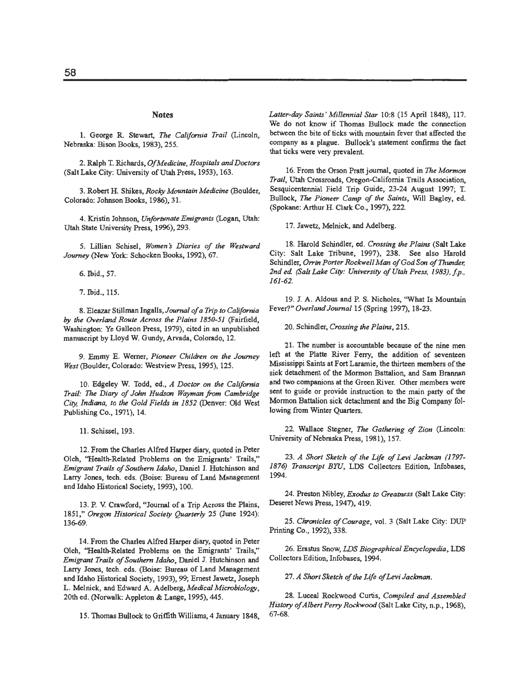#### **Notes**

1. George R. Stewart, *The California Trail* (Lincoln, Nebraska: Bison Books, **1983), 255.** 

**2.** Ralph T. Richards, *OfMedicine, Hospitals andDoctars*  (Salt Lake City: University of Utah Press, **1953), 163.** 

3. Robert H. Shikes, *Rocky Mountain Medicine* (Boulder, Colorado: Johnson Books, **1986), 3 1.** 

**4.** Kristin Johnson, *Unfortunate Emigrants* (Logan, Utah: Utah State University Press, **19%), 293.** 

**5.** Lillian Schisel, *Women\$ Diaries of the Westward Journey* (New York: Schocken Books, **1992), 67.** 

**6.** Ibid., **57.** 

**7.** Ibid., **115.** 

**8.** Eleazar Stillman Ingalls, *Journal of a Trip to California by the Overland Route Across the Plains 1850-51* (Fairfield, Washington: Ye Galleon Press, **1979),** cited in an unpublished manuscript by Lloyd W. Gundy, Awada, Colorado, **12.** 

**9.** Emmy **E.** Wemer, *Pioneer Chil&en* on *the Journey West* (Boulder, Colorado: Westview Press, **1995), 125.** 

**10.** Edgeley W. Todd, ed., *A Doctor* on *the California Trail: The Diary of John Hudson Wayman from Cambridge* City, Indiana, to the Gold Fields in 1852 (Denver: Old West Publishing Co., **1971), 14.** 

**11.** Schissel, **193.** 

**12.** From the Charles Alfred Harper diary, quoted in Peter Olch, "Health-Related Problems on the Emigrants' Trails," *Emigrant TroiIs of Soulhern Idaho,* Daniel J. Hutchinson and Larry Jones, tech. eds. (Boise: Bureau of Land Management and Idaho Historical Society, **1993), 100.** 

**13.** P. **V.** Crawford, "Journal of a Trip Across the Plains, 1851," Oregon Historical Society Quarterly 25 (June 1924): **13669.** 

**14.** From the Charles Alfred Harper diary, quoted in Peter Olch, "Health-Related Problems on the Emigrants' Trails," *Emigrant Trails of Southern Idoha,* Daniel J. Hutchinson and Larry Jones, tech. eds. (Boise: Bureau of Land Management and Idaho Historical Society, **1993), 99;** Ernest Jawetz, Joseph L. Melnick, and Edward A. Adelberg, *Medical Microbiology,*  20th ed. (Norwalk: Appleton & Lange, **1995), 445.** 

**15.** Thomas Bullock **to** Griffith Williams, **4** January **1848,** 

*Latter-day Saints* ' *Millennia1 Star* **10:8 (15** April **1848), 117.**  We do not know if Thomas Bullock made the connection between the bite of ticks with mountain fever that affected the company as a plague. Bullock's statement confirms the fact that ticks were very prevalent.

16. From the Orson Pratt journal, quoted in *The Mormon Trail,* Utah Crossroads, Oregon-California Trails Association, Sesquicentennial Field Trip Guide, **23-24** August **1997; T.**  Bullock, **The** *Pioneer Camp of the Saints,* W111 Bagley, ed. (Spokane: Arthur H. Clark Co., **1997), 222.** 

**17.** Jawetz, Melnick, and Adelberg.

18. Harold Schindler, ed. *Crossing the Plains* (Salt Lake City: Salt Lake Tribune, **1997), 238.** See also Harold Schindler, *Orrin Porter Rockwell Man of God Son of Thunder*; 2nd ed. (Salt Lake City: University of Utah Press, 1983), f.p., *161 -62.* 

**19.** J. A. Aldous and P. S. Nicholes, 'What Is Mountain Fever?" *Overland Journal* **15** (Spring **1997), 18-23.** 

**20.** Schindler, *Crossing the Plains,* **215.** 

**21.** The number is accountable because of the nine men left at the Platte River Ferry, the addition of seventeen Mississippi Saints at Fort Laramie, the thirteen members of the sick detachment of the Mormon Battalion, and Sam Brannan and two companions at the Green River. Other members were sent to guide or provide instruction **to** the main party of the Mormon Battalion sick detachment and the Big Company following from Winter Quarters.

22. Wallace Stegner, *The Gathering of Zion* (Lincoln: University of Nebraska Press, **198 I), 157.** 

23. *A Short Sketch of the Life of Levi Jackman (1797-1876) Transcript BYU,* LDS Collectors Edition, Infobases, **1994.** 

**24.** Preston Niblcy, **Exodus** *Greatness* (Salt Lake City: Deseret News Press, 1947), 419.

**25.** *Chronicles of Courage,* vol. **3** (Salt Lake City: DUP Printing **Co., 1992), 338.** 

26. Erastus Snow, *LDS Biographical Encyclopedia,* LDS Collectors Edition, Infobases, **194.** 

27. *A Short Sketch of the Life of Levi Jackman.* 

**28.** Luceal Rockwood Curtis, *Compiled and Assembled History of Albert Perry Rockwood* (Salt Lake City, n.p., 1968), **67-68.**